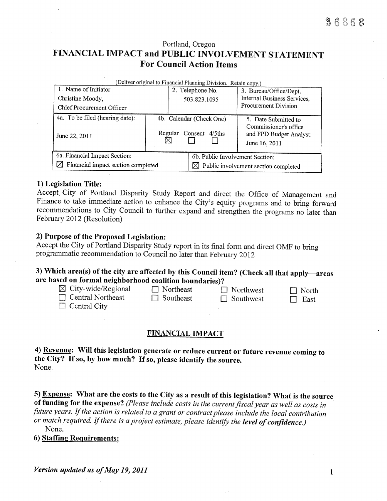# Portland, Oregon FINANCIAL IMPACT and PUBLIC INVOLVEMENT STATEMENT **For Council Action Items**

| (Deliver original to Financial Planning Division. Retain copy.) |                          |                                                  |                                                                   |  |  |  |  |  |  |
|-----------------------------------------------------------------|--------------------------|--------------------------------------------------|-------------------------------------------------------------------|--|--|--|--|--|--|
| 1. Name of Initiator                                            |                          | 2. Telephone No.                                 | 3. Bureau/Office/Dept.                                            |  |  |  |  |  |  |
| Christine Moody,                                                |                          | 503.823.1095                                     | Internal Business Services,                                       |  |  |  |  |  |  |
| Chief Procurement Officer                                       |                          |                                                  | Procurement Division                                              |  |  |  |  |  |  |
| 4a. To be filed (hearing date):                                 | 4b. Calendar (Check One) |                                                  | 5. Date Submitted to                                              |  |  |  |  |  |  |
| June 22, 2011                                                   | Regular                  | Consent 4/5ths                                   | Commissioner's office<br>and FPD Budget Analyst:<br>June 16, 2011 |  |  |  |  |  |  |
| 6a. Financial Impact Section:                                   |                          | 6b. Public Involvement Section:                  |                                                                   |  |  |  |  |  |  |
| ⋈<br>Financial impact section completed                         |                          | $\boxtimes$ Public involvement section completed |                                                                   |  |  |  |  |  |  |

## 1) Legislation Title:

Accept City of Portland Disparity Study Report and direct the Office of Management and Finance to take immediate action to enhance the City's equity programs and to bring forward recommendations to City Council to further expand and strengthen the programs no later than February 2012 (Resolution)

## 2) Purpose of the Proposed Legislation:

Accept the City of Portland Disparity Study report in its final form and direct OMF to bring programmatic recommendation to Council no later than February 2012

# 3) Which area(s) of the city are affected by this Council item? (Check all that apply-areas are based on formal neighborhood coalition boundaries)?

| $\boxtimes$ City-wide/Regional<br>$\Box$ Central Northeast<br>$\Box$ Central City | $\Box$ Northeast<br>$\Box$ Southeast | $\Box$ Northwest<br>$\Box$ Southwest | $\Box$ North<br>$\Box$ East |
|-----------------------------------------------------------------------------------|--------------------------------------|--------------------------------------|-----------------------------|
|-----------------------------------------------------------------------------------|--------------------------------------|--------------------------------------|-----------------------------|

## **FINANCIAL IMPACT**

4) Revenue: Will this legislation generate or reduce current or future revenue coming to the City? If so, by how much? If so, please identify the source. None.

5) Expense: What are the costs to the City as a result of this legislation? What is the source of funding for the expense? (Please include costs in the current fiscal year as well as costs in future years. If the action is related to a grant or contract please include the local contribution or match required. If there is a project estimate, please identify the level of confidence.) None.

6) Staffing Requirements:

Version updated as of May 19, 2011

 $\mathbf{1}$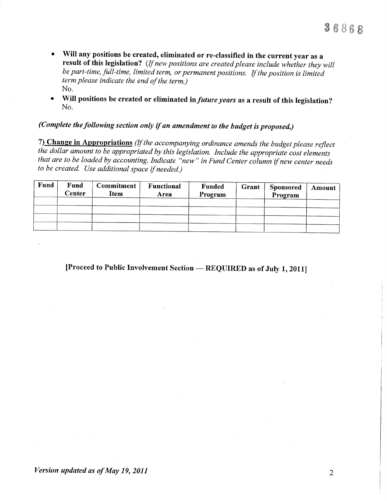- Will any positions be created, eliminated or re-classified in the current year as a  $\bullet$ result of this legislation? (If new positions are created please include whether they will be part-time, full-time, limited term, or permanent positions. If the position is limited term please indicate the end of the term.) No.
- Will positions be created or eliminated in *future years* as a result of this legislation? No.

# (Complete the following section only if an amendment to the budget is proposed.)

7) Change in Appropriations (If the accompanying ordinance amends the budget please reflect the dollar amount to be appropriated by this legislation. Include the appropriate cost elements that are to be loaded by accounting. Indicate "new" in Fund Center column if new center needs to be created. Use additional space if needed.)

| Fund | Fund<br>Center | <b>Commitment</b><br>Item | Functional<br>Area | <b>Funded</b><br>Program | Grant | <b>Sponsored</b><br>Program | Amount |
|------|----------------|---------------------------|--------------------|--------------------------|-------|-----------------------------|--------|
|      |                |                           |                    |                          |       |                             |        |
|      |                |                           |                    |                          |       |                             |        |
|      |                |                           |                    |                          |       |                             |        |
|      |                |                           |                    |                          |       |                             |        |

[Proceed to Public Involvement Section - REQUIRED as of July 1, 2011]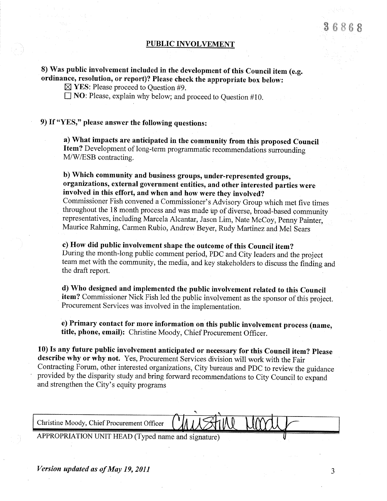## PUBLIC INVOLVEMENT

# 8) Was public involvement included in the development of this Council item (e.g. ordinance, resolution, or report)? Please check the appropriate box below:

 $\boxtimes$  YES: Please proceed to Question #9.

 $\Box$  NO: Please, explain why below; and proceed to Question #10.

## 9) If "YES," please answer the following questions:

a) What impacts are anticipated in the community from this proposed Council Item? Development of long-term programmatic recommendations surrounding M/W/ESB contracting.

# b) which community and business groups, under-represented groups, organizations, external government entities, and other interested parties were involved in this effort, and when and how were they involved?

Commissioner Fish convened a Commissioner's Advisory Group which met five times representatives, including Marcela Alcantar, Jason Lim, Nate McCoy, Penny Painter, Maurice Rahming, Carmen Rubio, Andrew Beyer, Rudy Martinez and Mel Sears

c) How did public involvement shape the outcome of this Council item? During the month-long public comment period, PDC and City leaders and the project team met with the community, the media, and key stakeholders to discuss the finding and the draft report.

d) Who designed and implemented the public involvement related to this Council item? Commissioner Nick Fish led the public involvement as the sponsor of this project. Procurement Services was involved in the implementation.

e) Primary contact for more information on this public involvement process (name, title, phone, email): christine Moody, chief Procurement officer.

10) Is any future public involvement anticipated or necessary for this Council item? Please describe why or why not. Yes, Procurement Services division will work with the Fair Contracting Forum, other interested organizations, City bureaus and PDC to review the guidance provided by the disparity study and bring forward recommendations to City Council to expand and strengthen the City's equity programs

Christine Moody, Chief Procurement Officer

APPROPRIATION UNIT HEAD (Typed name and signature)

Version updated øs of May 19,20ll

 $9900$  $\boldsymbol{5}$   $\boldsymbol{6}$   $\boldsymbol{8}$   $\boldsymbol{6}$   $\boldsymbol{8}$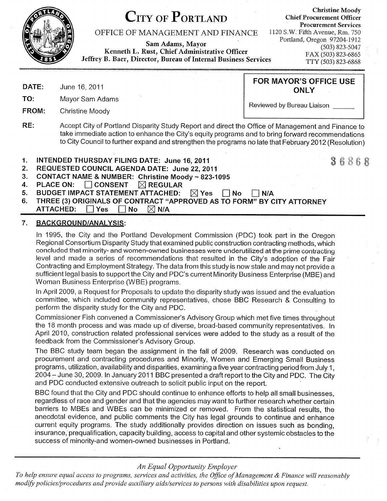

# OFFICE OF MANAGEMENT AND FINANCE 1120 S.W. Fifth Avenue, Rm. 750

Sam Adams, Mayor Fortland, Oregon 97204-1912<br>Kenneth L. Rust, Chief Administrative Officer (503) 823-5047<br>Jeffrey B. Baer, Director, Bureau of Internal Business Services TTY (503) 823-6868

Christine Moody<br>Christine Moody Chief Procurement Officer Procurement Services

DATE: June 16, 2011 **ONLY** 

TO: Mayor Sam Adams

FROM: Christine Moody

Reviewed by Bureau Liaison

FOR MAYOR'S OFFICE USE

- RE: Accept City of Portland Disparity Study Report and direct the Office of Management and Finance to take immediate action to enhance the City's equity programs and to bring forward recommendations to City Council to further expand and strengthen the programs no late that February 2012 (Resolution)
- 
- 
- 
- 
- 
- 1. INTENDED THURSDAY FILING DATE: June 16, 2011<br>2. REQUESTED COUNCIL AGENDA DATE: June 22, 2011<br>3. CONTACT NAME & NUMBER: Christine Moody ~ 823-1095<br>4. PLACE ON: □ CONSENT REGULAR<br>5. BUDGET IMPACT STATEMENT ATTACHED:
	-

# 7. BAGKGROUND/ANALYSIS:

ln 1995, the City and the Portland Development Commission (PDC) took part in the Oregon Regional Consortium Disparity Study that examined public construction contracting methods, which concluded that minority- and women-owned businesses were underutilized at the prime contracting level and made a series of recommendations that resulted in the City's adoption of the Fair Contracting and Employment Strategy, The data from this study is now stale and may not provide a sufficient legal basis to support the City and PDC's current Minority Business Enterprise (MBE) and Woman Business Enterprise (WBE) programs.

ln April 2009, a Request for Proposals to update the disparity study was issued and the evaluation committee, which included community representatives, chose BBC Research & Consulting to perform the disparity study for the City and PDC.

Commissioner Fish convened a Commissioner's Advisory Group which met five times throughout the 18 month process and was made up of diverse, broad-based community representatives. In April 2010, construction related professional services were added to the study as a result of the feedback from the Commissioner's Advisory Group.

The BBC study team began the assignment in the fall of 2009. Research was conducted on procurement and contracting procedures and Minority, Women and Emerging Small Business programs, utilization, availability and disparities, examining a five year contracting period from July 1, 2004 - June 30, 2009. ln January 2011 BBC presented a draft report to the City and PDC. The City and PDC conducted extensive outreach to solicit public input on the report.

BBC found that the City and PDC should continue to enhance efforts to help all small businesses, regardless of race and gender and that the agencies may want to further research whether certain barriers to MBEs and WBEs can be minimized or removed. From the statistical results, the anecdotal evidence, and public comments the City has legal grounds to continue and enhance current equity programs. The study additionally provides direction on issues such as bonding, insurance, prequalification, capacity building, access to capital and other systemic obstacles to the success of minority-and women-owned businesses in Portland.

## An Equal Opportunity Employer

To help ensure equal access to programs, services and activities, the Office of Management & Finance will reasonably modify policies/procedures and provide auxiliary aids/services to persons with disabilities upon request.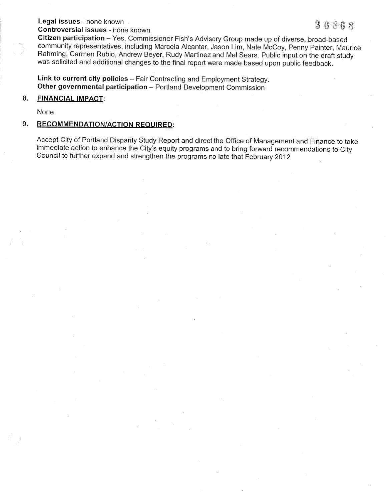Legal issues - none known<br>Controversial issues - none known<br>Citizen participation – Yes, Commissioner Fish's Advisory Group made up of diverse, broad-based community representatives, including Marcela Alcantar, Jason Lim, Nate McCoy, Penny Painter, Maurice<br>Rahming, Carmen Rubio, Andrew Beyer, Rudy Martinez and Mel Sears. Public input on the draft study<br>was solicited and addit

Link to current city policies - Fair Contracting and Employment Strategy. Link to current city policies – Fair Contracting and Employment Strategy<br>Other governmental participation – Portland Development Commission

### 8. FINANCIAL IMPACT:

None

## 9. RECOMMENDATION/ACTION REQUIRED:

Accept City of Portland Disparity Study Report and direct the Office of Management and Finance to take immediate action to enhance the City's equity programs and to bring forward recommendations to City Council to further expand and strengthen the programs no late that February 2012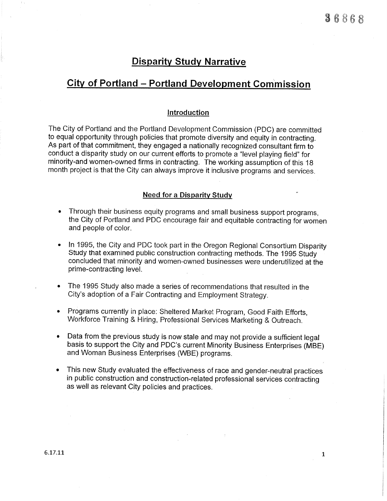# **Disparity Study Narrative**

# Citv of Portland - Portland Development Commission

#### lntroduction

The City of Portland and the Portland Development Commission (PDC) are committed to equal opportunity through policies that promote diversity and equity in contracting. As part of that commitment, they engaged a nationally recognized consultant firm to conduct a disparity study on our current efforts to promote a "level playing field" for minority-and women-owned firms in contracting. The working assumption of this 18 month project is that the City can always improve it inclusive programs and services.

## **Need for a Disparity Study**

- Through their business equity programs and small business support programs,  $\bullet$ the City of Portland and PDC encourage fair and equitable contracting for women and people of color.
- In 1995, the City and PDC took part in the Oregon Regional Consortium Disparity Study that examined public construction contracting methods. The 1995 Study concluded that minority and women-owned businesses were underutilized at the prime-contracting level.
- The 1995 Study also made a series of recommendations that resulted in the City's adoption of a Fair Contracting and Employment Strategy.
- Programs currently in place: Sheltered Market Program, Good Faith Efforts, Workforce Training & Hiring, Professional Services Marketing & Outreach.
- Data from the previous study is now stale and may not provide a sufficient legal basis to support the City and PDC's current Minority Business Enterprises (MBE) and Woman Business Enterprises (WBE) programs.
- This new Study evaluated the effectiveness of race and gender-neutral practices in public construction and construction-related professional services contracting as well as relevant City policies and practices.

6.L7.L1: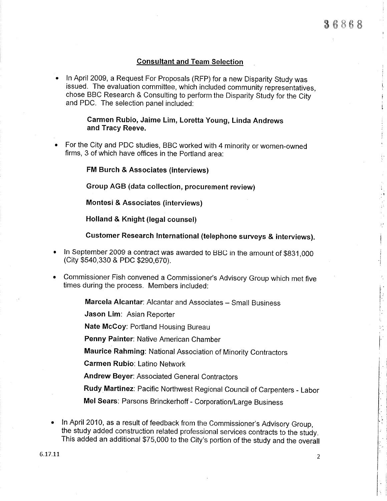$\begin{bmatrix} 1 \\ 1 \end{bmatrix}$ 

 $\hat{\mathbf{z}}$ 

## Consultant and Team Selection

ln April 2009, a Request For Proposals (RFP) for a new Disparity study was issued. The evaluation committee, which included community representatives, chose BBC Research & Consulting to perform the Disparity Study for the City and PDC. The selection panel included:

> Carmen Rubio, Jaime Lim, Loretta Young, Linda Andrews and Tracy Reeve.

For the city and PDC studies, BBC worked with 4 minority or women-owned firms, 3 of which have offìces in the Portland area:

FM Burch & Associates (interviews)

Group AGB (data collection, procurement review)

Montesi & Associates (interviews)

Holland & Knight (legal counsel)

Gustomer Research lnternational (telephone surveys & interviews).

- In September 2009 a contract was awarded to BBC in the amount of \$831,000 (City \$540,330 & PDC \$290,670).
- Commissioner Fish convened a Commissioner's Advisory Group which met five times during the process. Members included:

**Marcela Alcantar**: Alcantar and Associates – Small Business

Jason Lim: Asian Reporter

Nate McGoy: Portland Housing Bureau

Penny Painter: Native American Chamber

Maurice Rahming: National Association of Minority contractors

Garmen Rubio: Latino Network

Andrew Beyer: Associated General Contractors

Rudy Martinez: Pacific Northwest Regional Council of Carpenters - Labor

Mel Sears: Parsons Brinckerhoff - Corporation/Large Business

In April 2010, as a result of feedback from the Commissioner's Advisory Group, the study added construction related professional services contracts to the study. This added an additional \$75,000 to the City's portion of the study and the overall

6.17.11: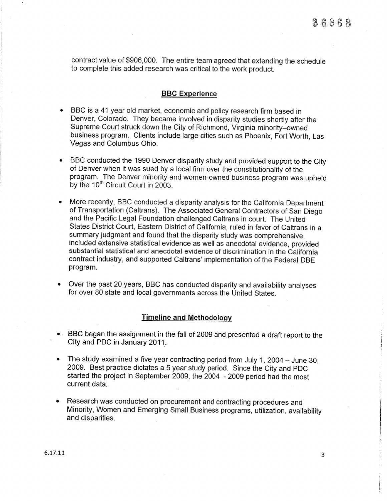contract value of \$906,000. The entire team agreed that extending the schedule to complete this added research was critical to the work product.

## BBG Experience

- BBC is a 41 year old market, economic and policy research firm based in Denver, Colorado. They became involved in disparity studies shortly after the Supreme Court struck down the City of Richmond, Virginia minority-owned business program. Clients include large cities such as Phoenix, Fort Worth, Las Vegas and Columbus Ohio.
- BBC conducted the 1990 Denver disparity study and provided support to the City of Denver when it was sued by a local firm over the constitutionality of the program.. The Denver minority and women-owned business program was upheld by the 10<sup>th</sup> Circuit Court in 2003.
- More recently, BBC conducted a disparity analysis for the California Department of Transportation (Caltrans). The Associated General Contractors of San Diego and the Paciflc Legal Foundation challenged Caltrans in court. The United States District Court, Eastern District of California, ruled in favor of Caltrans in a summary judgment and found that the disparity study was comprehensive, included extensive statistical evidence as well as anecdotal evidence, provided substantial statistical and anecdotal evidence of discrimination in the California contract industry, and supported Caltrans' implementation of the Federal DBE program.
- Over the past 20 years, BBC has conducted disparity and availability analyses for over 80 state and local governments across the United States.

#### Timeline and Methodologv

- BBC began the assignment in the fall of 2009 and presented a draft report to the City and PDC in January 2011,.
- The study examined a five year contracting period from July 1, 2004 June 30,<br>2009. Best practice dictates a 5 year study period. Since the City and PDC started the project in september 2009, the 2004 - 2009 period had the most current data.
- Research was conducted on procurement and contracting procedures and Minority, Women and Emerging Small Business programs, utilization, availability and disparities.

 $\overline{3}$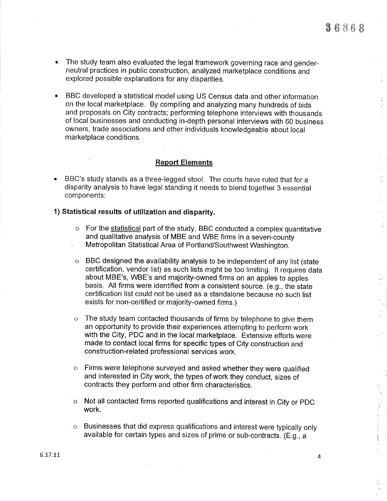$\bar{z}$ ÷.

à.

- The study team also evaluated the legal framework governing race and genderneutral practices in public construction, analyzed marketplace conditions and explored possible explanations for any disparities.
- BBC developed a statistical model using US Census data and other information on the local marketplace. By compiling and analyzing many hundreds of bids and proposals on City contracts; performing telephone interviews with thousands of local businesses and conducting in-depth personal interviews with 60 business owners, trade associations and other individuals knowledgeable about local marketplace conditions.

## Report Elements

BBC's study stands as a three-legged stool. The courts have ruled that for a disparity analysis to have legal standing it needs to blend together 3 essential components:

## 1) Statistical results of utilization and disparity.

- $\circ$  For the statistical part of the study, BBC conducted a complex quantitative and qualitative analysis of MBE and WBE firms in a seven-county , Metropolitan Statistical Area of Portland/Southwest Washington.
- $\circ$  BBC designed the availability analysis to be independent of any list (state certification, vendor list) as such lists might be too limiting. lt requires data about MBE's, WBE's and majority-owned firms on an apples to apples basis. All firms were identified from a consistent source. (e.g., the state certification list could not be used as a standalone because no such list exists for non-certified or majority-owned firms.)
- The study team contacted thousands of firms by telephone to give them an opportunity to provide their experiences attempting to perform work with the City, PDC and in the local marketplace. Extensive efforts were made to contact local firms for specific types of City construction and construction-related professional services work.
- $\circ$  Firms were telephone surveyed and asked whether they were qualified and interested in City work, the types of work they conduct, sizes of contracts they perform and other flrm characteristics.
- o Not all contacted firms reported qualifications and interest in City or PDC work.
- o Businesses that did express qualifications and interest were typically only available for certain types and sizes of prime or sub-contracts. (E.g., a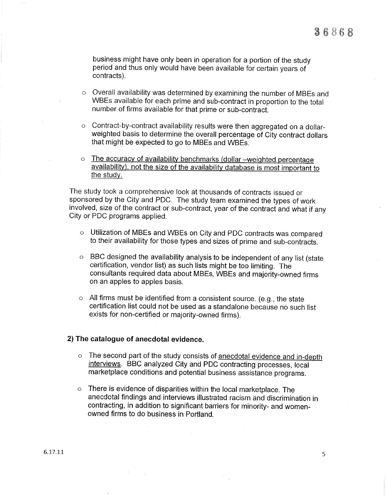business might have only been in operation for a portion of the study period and thus only would have been available for certain years of contracts).

- o Overall availability was determined by examining the number of MBEs and WBEs available for each prime and sub-contract in proportion to the total number of firms available for that prime or sub-contract.
- o Contract-by-contract availability results were then aggregated on a dollarweighted basis to determine the overall percentage of City contract dollars that might be expected to go to MBEs and WBEs.
- The accuracy of availability benchmarks (dollar -weighted percentage<br>availability), not the size of the availability database is most important to the study.

The study took a comprehensive look at thousands of contracts issued or sponsored by the city and PDC. The study team examined the types of work involved, size of the contract or sub-contract, year of the contract and what if any City or PDC programs applied.

- o Utilization of MBEs and WBEs on City and PDC contracts was compared to their availability for those types and sizes of prime and sub-contracts.
- o BBC designed the availability analysis to be independent of any list (state certification, vendor list) as such lists might be too limiting. The consultants required data about MBEs, WBEs and majority-owned firms on an apples to apples basis.
- $\circ$  All firms must be identified from a consistent source. (e.g., the state certification list could not be used as a standalone because no such list exists for non-certified or majority-owned firms).

## 2) The catalogue of anecdotal evidence.

- o The second part of the study consists of anecdotal evidence and in-depth interviews. BBc analyzed city and PDC contracting processes, local marketplace conditions and potential business assistance programs.
- $\circ$  There is evidence of disparities within the local marketplace. The anecdotal flndings and interviews illustrated racism and discrímination in contracting, in addition to significant barriers for minority- and womenowned firms to do business in Portland.

 $\bar{\Delta}$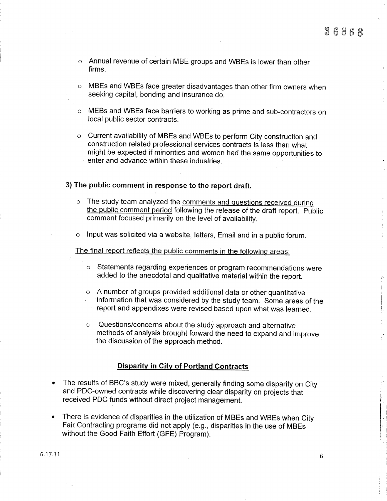- o Annual revenue of certain MBE groups and WBEs is lower than other firms.
- o MBEs and WBEs face greater disadvantages than other flrm owners when seeking capital, bonding and insurance do.
- o MEBs and WBEs face barriers to working as prime and sub-contractors on local public sector contracts.
- o Current availability of MBEs and WBEs to perform City construction and construction related professional services contracts is less than what might be expected if minorities and women had the same opportunities to enter and advance within these industries.

## 3) The public comment in response to the report draft.

- o The study team analyzed the comments and questions received during the public comment period following the release of the draft report. Public comment focused primarily on the level of availability.
- o lnput was solicited via a website, letters, Email and in a public forum.

The final report reflects the public comments in the followinq areas:

- o Statements regarding experlences or program recommendations were added to the anecdotal and qualitative material within the report.
- o A number of groups provided additional data or other quantitative<br>' information that was considered by the study team. Some areas of the report and appendixes were revised based upon what was learned.
- o Questions/concerns about the study approach and alternative methods of analysis brought forward the need to expand and improve the discussion of the approach method.

#### **Disparity in City of Portland Contracts**

- $\blacktriangleright$   $\;$  The results of BBC's study were mixed, generally finding some disparity on City and PDC-owned contracts while discovering clear disparity on projects that received PDC funds without direct project management.
- There is evidence of disparities in the utilization of MBEs and WBEs when City I. Fair Contracting programs did not apply (e.g., disparities in the use of MBEs without the Good Faith Effort (GFE) Program).

i. t

i.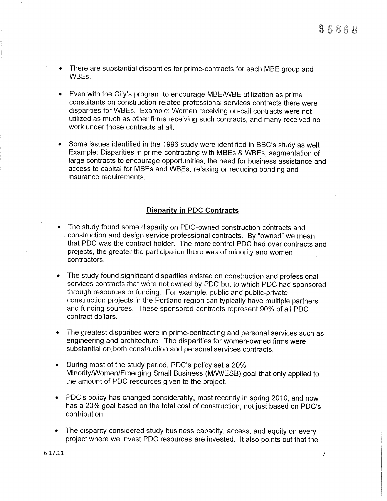- There are substantial disparities for prime-contracts for each MBE group and  $\bullet$ WBEs.
- Even with the City's program to encourage MBE/WBE utilization as prime consultants on construction-related professional services contracts there were disparities for WBFs. Example: Women receiving on-call contracts were not utilized as much as other flrms receiving such contracts, and many received no work under those contracts at all.
- Some issues identified in the 1996 study were identified in BBC's study as well. Example: Disparities in prime-contracting with MBEs & WBEs, segmentation of large contracts to encourage opportunities, the need for business assistance and access to capital for MBEs and WBEs, relaxíng or reducing bonding and insurance requirements.

## Disparitv in PDC Contracts

- The study found some disparity on PDC-owned construction contracts and construction and design service professional contracts. By "owned" we mean that PDC was the contract holder. The more control PDC had over contracts and projects, the greater the participation there was of minority and women contractors.
- The study found significant disparities existed on construction and professional services contracts that were not owned by PDC but to which PDC had sponsored through resources or funding. For example: public and public-private construction projects in the Portland region can typically have multiple partners and funding sources. These sponsored contracts represent 90% of all PDC contract dollars.
- The greatest disparities were in prime-contracting and personal services such as engineering and architecture. The disparities for women-owned firms were substantial on both construction and personal services contracts.
- During most of the study period, PDC's policy set a 20% Minority/Women/Emerging Small Business (M/W/ESB) goal that only applied to the amount of PDC resources given to the project.
- . PDC's policy has changed considerably, most recently in spring 2010, and now has a 20% goal based on the total cost of construction, not just based on PDC's contribution.
- The disparity considered study business capacity, access, and equity on every project where we invest PDC resources are invested. lt also points out that the

6.17.1\_1

 $\overline{7}$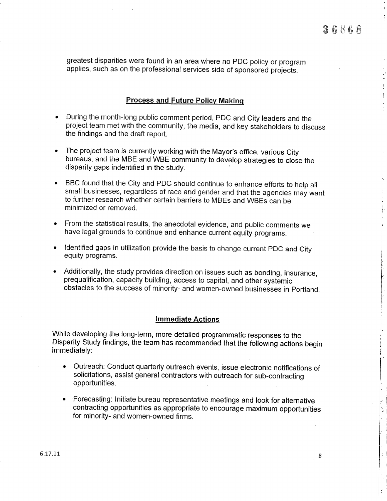greatest disparities were found in an area where no pDC policy or program applies, such as on the professional services side of sponsored projects.

## Process and Future Policv Makinq

- During the month-long public comment period, PDC and City leaders and the project team met with the community, the media, and key stakeholders to discuss the findings and the draft report.
- The project team is currently working with the Mayor's office, various City bureaus, and the MBE and WBE community to develop strategies to close the disparity gaps indentifled in the study.
- BBC found that the City and PDC should continue to enhance efforts to help all small businesses, regardless of race and gender and that the agencies may want  $\bullet$ to further research whether certain barriers to MBEs and wBEs can be minimized or removed.
- From the statistical results, the anecdotal evidence, and public comments we have legal grounds to continue and enhance current equity programs.
- ldentifled gaps in utilization provide the basis to change current PDC and City equity programs.
- Additionally, the study provides direction on issues such as bonding, insurance, prequalification, capacity building, access to capital, and other systemic obstacles to the success of minority- and women-owned businesses in Portland.

#### lmmediate Actions

While developing the long-term, more detailed programmatic responses to the Disparity Study findings, the team has recommended that the following actions begin immediately:

- . Outreach: Conduct quarterly outreach events, issue electronic notifications of solicitations, assist general contractors with outreach for sub-contracting opportunities.
- . Forecasting: Initiate bureau representative meetings and look for alternative contracting opportunities as appropriate to encourage maximum opportunities for minority- and women-owned firms.